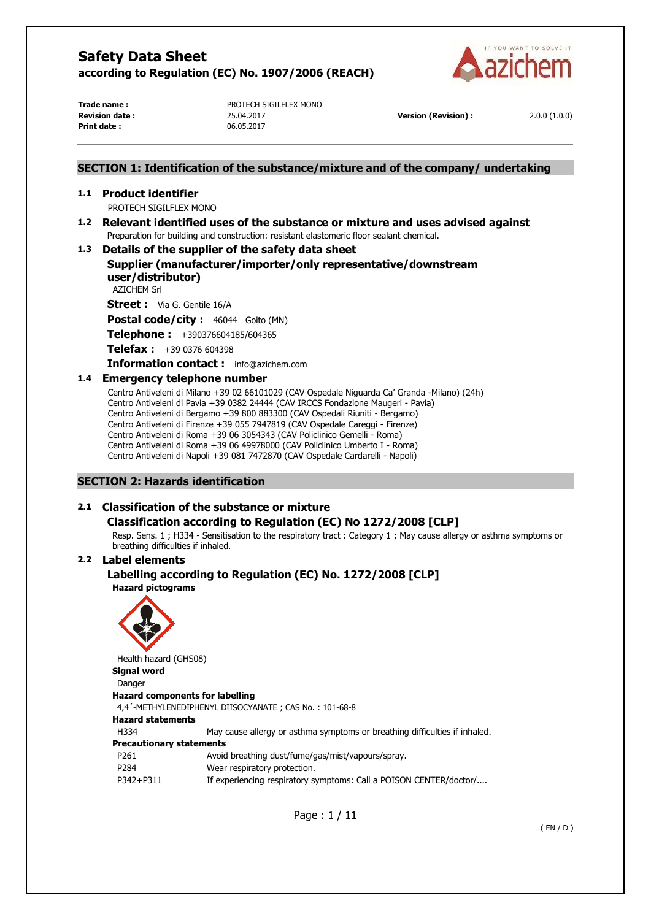

**Print date :** 06.05.2017

**Trade name :** PROTECH SIGILFLEX MONO **Revision date :** 25.04.2017 **Version (Revision) :** 2.0.0 (1.0.0)

# **SECTION 1: Identification of the substance/mixture and of the company/ undertaking**

### **1.1 Product identifier**

PROTECH SIGILFLEX MONO

**1.2 Relevant identified uses of the substance or mixture and uses advised against**  Preparation for building and construction: resistant elastomeric floor sealant chemical.

# **1.3 Details of the supplier of the safety data sheet**

**Supplier (manufacturer/importer/only representative/downstream user/distributor)** 

AZICHEM Srl

**Street :** Via G. Gentile 16/A

Postal code/city : 46044 Goito (MN)

**Telephone :** +390376604185/604365

**Telefax :** +39 0376 604398

**Information contact :** info@azichem.com

# **1.4 Emergency telephone number**

Centro Antiveleni di Milano +39 02 66101029 (CAV Ospedale Niguarda Ca' Granda -Milano) (24h) Centro Antiveleni di Pavia +39 0382 24444 (CAV IRCCS Fondazione Maugeri - Pavia) Centro Antiveleni di Bergamo +39 800 883300 (CAV Ospedali Riuniti - Bergamo) Centro Antiveleni di Firenze +39 055 7947819 (CAV Ospedale Careggi - Firenze) Centro Antiveleni di Roma +39 06 3054343 (CAV Policlinico Gemelli - Roma) Centro Antiveleni di Roma +39 06 49978000 (CAV Policlinico Umberto I - Roma) Centro Antiveleni di Napoli +39 081 7472870 (CAV Ospedale Cardarelli - Napoli)

# **SECTION 2: Hazards identification**

# **2.1 Classification of the substance or mixture**

# **Classification according to Regulation (EC) No 1272/2008 [CLP]**

Resp. Sens. 1 ; H334 - Sensitisation to the respiratory tract : Category 1 ; May cause allergy or asthma symptoms or breathing difficulties if inhaled.

# **2.2 Label elements**

# **Labelling according to Regulation (EC) No. 1272/2008 [CLP] Hazard pictograms**



Health hazard (GHS08) **Signal word**  Danger **Hazard components for labelling**  4,4´-METHYLENEDIPHENYL DIISOCYANATE ; CAS No. : 101-68-8 **Hazard statements**  H334 May cause allergy or asthma symptoms or breathing difficulties if inhaled. **Precautionary statements**  P261 Avoid breathing dust/fume/gas/mist/vapours/spray. P284 Wear respiratory protection. P342+P311 If experiencing respiratory symptoms: Call a POISON CENTER/doctor/....

Page : 1 / 11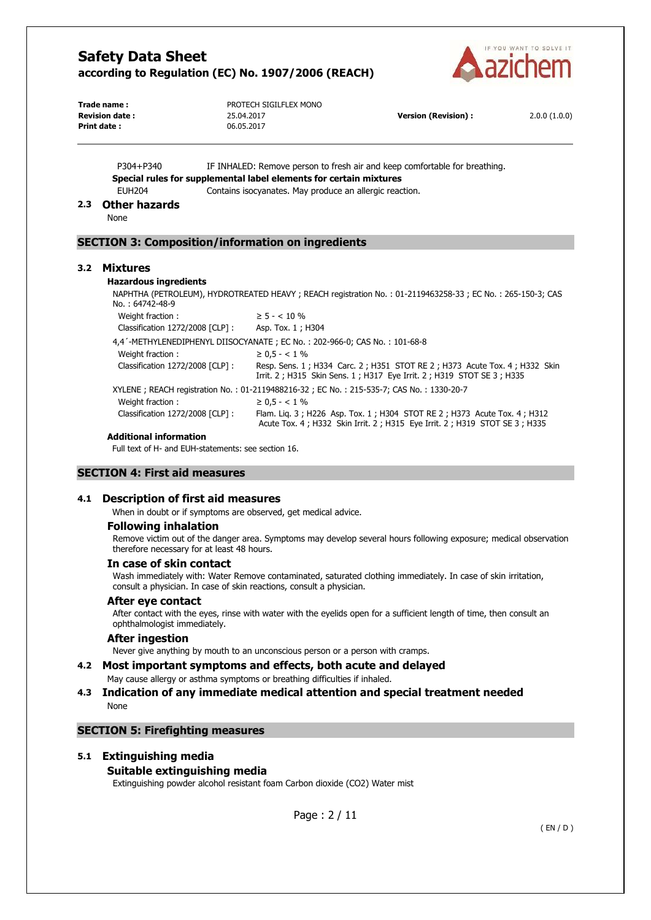

| Trade name :          | PROTECH SIGILFLEX MONO |                            |              |
|-----------------------|------------------------|----------------------------|--------------|
| <b>Revision date:</b> | 25.04.2017             | <b>Version (Revision):</b> | 2.0.0(1.0.0) |
| Print date:           | 06.05.2017             |                            |              |

P304+P340 IF INHALED: Remove person to fresh air and keep comfortable for breathing. **Special rules for supplemental label elements for certain mixtures**  EUH204 Contains isocyanates. May produce an allergic reaction.

### **2.3 Other hazards**

None

# **SECTION 3: Composition/information on ingredients**

### **3.2 Mixtures**

### **Hazardous ingredients**

NAPHTHA (PETROLEUM), HYDROTREATED HEAVY ; REACH registration No. : 01-2119463258-33 ; EC No. : 265-150-3; CAS No. : 64742-48-9

| Weight fraction:                 | $\geq 5 - < 10 \%$                                                                                                                                       |
|----------------------------------|----------------------------------------------------------------------------------------------------------------------------------------------------------|
| Classification 1272/2008 [CLP] : | Asp. Tox. 1; H304                                                                                                                                        |
|                                  | 4,4'-METHYLENEDIPHENYL DIISOCYANATE ; EC No. : 202-966-0; CAS No. : 101-68-8                                                                             |
| Weight fraction:                 | $\geq 0.5 - < 1\%$                                                                                                                                       |
| Classification 1272/2008 [CLP] : | Resp. Sens. 1; H334 Carc. 2; H351 STOT RE 2; H373 Acute Tox. 4; H332 Skin<br>Irrit. 2 ; H315 Skin Sens. 1 ; H317 Eye Irrit. 2 ; H319 STOT SE 3 ; H335    |
|                                  | XYLENE; REACH registration No.: 01-2119488216-32; EC No.: 215-535-7; CAS No.: 1330-20-7                                                                  |
| Weight fraction:                 | $\geq 0.5 - < 1\%$                                                                                                                                       |
| Classification 1272/2008 [CLP] : | Flam. Lig. 3; H226 Asp. Tox. 1; H304 STOT RE 2; H373 Acute Tox. 4; H312<br>Acute Tox. 4 ; H332 Skin Irrit. 2 ; H315 Eye Irrit. 2 ; H319 STOT SE 3 ; H335 |

#### **Additional information**

Full text of H- and EUH-statements: see section 16.

# **SECTION 4: First aid measures**

### **4.1 Description of first aid measures**

When in doubt or if symptoms are observed, get medical advice.

### **Following inhalation**

Remove victim out of the danger area. Symptoms may develop several hours following exposure; medical observation therefore necessary for at least 48 hours.

### **In case of skin contact**

Wash immediately with: Water Remove contaminated, saturated clothing immediately. In case of skin irritation, consult a physician. In case of skin reactions, consult a physician.

### **After eye contact**

After contact with the eyes, rinse with water with the eyelids open for a sufficient length of time, then consult an ophthalmologist immediately.

# **After ingestion**

Never give anything by mouth to an unconscious person or a person with cramps.

### **4.2 Most important symptoms and effects, both acute and delayed**

### May cause allergy or asthma symptoms or breathing difficulties if inhaled.

### **4.3 Indication of any immediate medical attention and special treatment needed**  None

# **SECTION 5: Firefighting measures**

# **5.1 Extinguishing media**

### **Suitable extinguishing media**

Extinguishing powder alcohol resistant foam Carbon dioxide (CO2) Water mist

Page : 2 / 11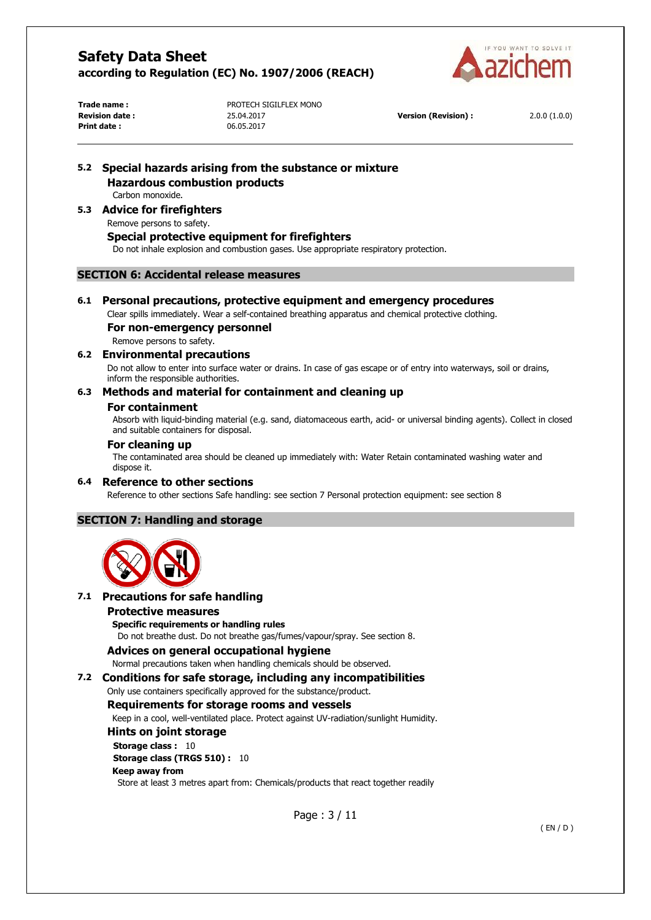

**Print date :** 06.05.2017

**Trade name :** PROTECH SIGILFLEX MONO **Revision date :** 25.04.2017 **Version (Revision) :** 2.0.0 (1.0.0)

# **5.2 Special hazards arising from the substance or mixture Hazardous combustion products**

Carbon monoxide.

# **5.3 Advice for firefighters**

### Remove persons to safety.

### **Special protective equipment for firefighters**

Do not inhale explosion and combustion gases. Use appropriate respiratory protection.

### **SECTION 6: Accidental release measures**

### **6.1 Personal precautions, protective equipment and emergency procedures**

Clear spills immediately. Wear a self-contained breathing apparatus and chemical protective clothing.

# **For non-emergency personnel**

Remove persons to safety.

# **6.2 Environmental precautions**

Do not allow to enter into surface water or drains. In case of gas escape or of entry into waterways, soil or drains, inform the responsible authorities.

# **6.3 Methods and material for containment and cleaning up**

### **For containment**

Absorb with liquid-binding material (e.g. sand, diatomaceous earth, acid- or universal binding agents). Collect in closed and suitable containers for disposal.

### **For cleaning up**

The contaminated area should be cleaned up immediately with: Water Retain contaminated washing water and dispose it.

### **6.4 Reference to other sections**

Reference to other sections Safe handling: see section 7 Personal protection equipment: see section 8

# **SECTION 7: Handling and storage**



# **7.1 Precautions for safe handling**

### **Protective measures**

**Specific requirements or handling rules**  Do not breathe dust. Do not breathe gas/fumes/vapour/spray. See section 8.

# **Advices on general occupational hygiene**

Normal precautions taken when handling chemicals should be observed.

# **7.2 Conditions for safe storage, including any incompatibilities**

Only use containers specifically approved for the substance/product.

### **Requirements for storage rooms and vessels**

Keep in a cool, well-ventilated place. Protect against UV-radiation/sunlight Humidity.

### **Hints on joint storage**

**Storage class : 10 Storage class (TRGS 510) :** 10 **Keep away from** 

Store at least 3 metres apart from: Chemicals/products that react together readily

Page : 3 / 11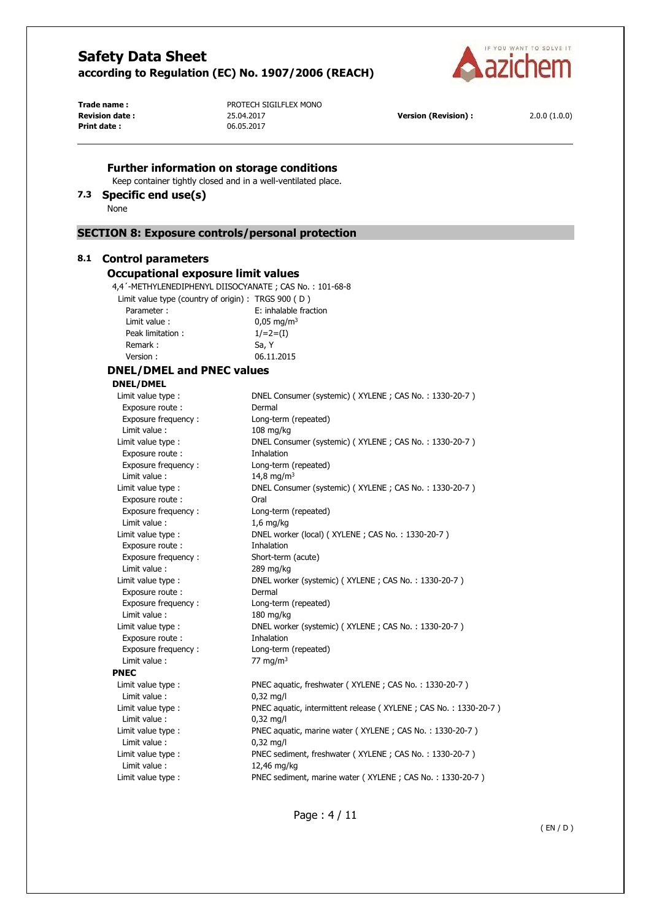**Further information on storage conditions** Keep container tightly closed and in a well-ventilated place.



**Print date :** 06.05.2017

**Trade name :** PROTECH SIGILFLEX MONO **Revision date :** 25.04.2017 **Version (Revision) :** 2.0.0 (1.0.0)

# Page : 4 / 11 **7.3 Specific end use(s)**  None **SECTION 8: Exposure controls/personal protection 8.1 Control parameters Occupational exposure limit values**  4,4´-METHYLENEDIPHENYL DIISOCYANATE ; CAS No. : 101-68-8 Limit value type (country of origin) : TRGS 900 ( D ) Parameter : E: inhalable fraction Limit value :  $0.05 \text{ mg/m}^3$ Peak limitation :  $1/=2=(I)$ Remark : Sa, Y Version : 06.11.2015 **DNEL/DMEL and PNEC values DNEL/DMEL**  Limit value type : DNEL Consumer (systemic) ( XYLENE ; CAS No. : 1330-20-7 ) Exposure route : Dermal Exposure frequency : Long-term (repeated) Limit value : 108 mg/kg Limit value type : DNEL Consumer (systemic) ( XYLENE ; CAS No. : 1330-20-7 ) Exposure route : Thhalation Exposure frequency : Long-term (repeated)  $Limit value : 14.8 ma/m<sup>3</sup>$ Limit value type : DNEL Consumer (systemic) (XYLENE ; CAS No. : 1330-20-7 ) Exposure route : Call Oral Exposure frequency : Long-term (repeated) Limit value : 1,6 mg/kg Limit value type : DNEL worker (local) (XYLENE ; CAS No. : 1330-20-7) Exposure route : Thhalation Exposure frequency : Short-term (acute) Limit value : 289 mg/kg Limit value type : DNEL worker (systemic) (XYLENE ; CAS No. : 1330-20-7) Exposure route : Dermal Exposure frequency : Long-term (repeated) Limit value : 180 mg/kg Limit value type : DNEL worker (systemic) (XYLENE ; CAS No. : 1330-20-7 ) Exposure route : Thhalation Exposure frequency : Long-term (repeated) Limit value :  $77 \text{ mg/m}^3$ **PNEC**  Limit value type : PNEC aquatic, freshwater (XYLENE ; CAS No. : 1330-20-7) Limit value : 0,32 mg/l Limit value type : PNEC aquatic, intermittent release ( XYLENE ; CAS No. : 1330-20-7 ) Limit value : 0,32 mg/l Limit value type : PNEC aquatic, marine water (XYLENE ; CAS No. : 1330-20-7) Limit value : 0,32 mg/l Limit value type : PNEC sediment, freshwater (XYLENE ; CAS No. : 1330-20-7) Limit value : 12,46 mg/kg Limit value type : PNEC sediment, marine water (XYLENE ; CAS No. : 1330-20-7)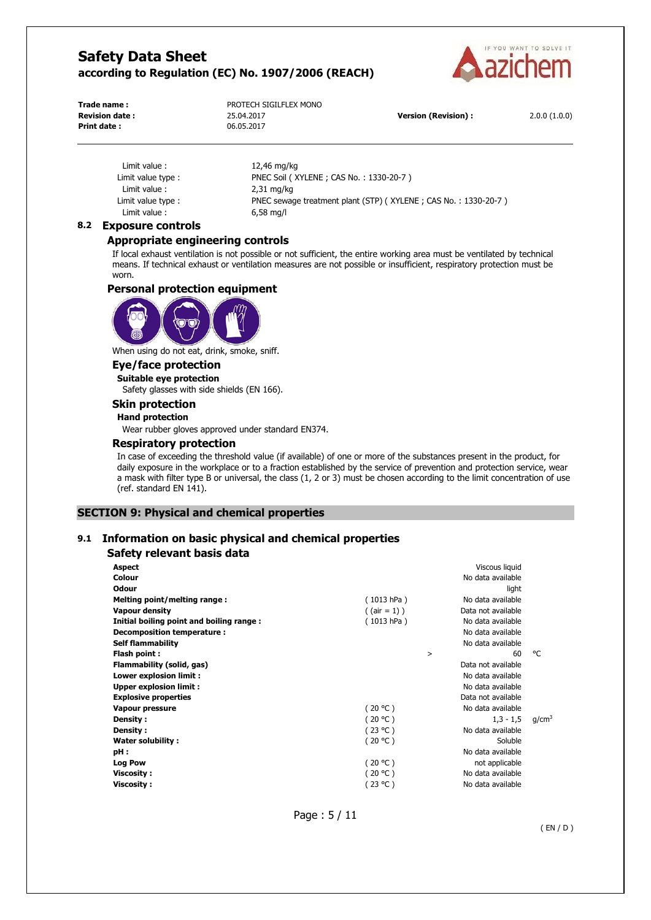

**Print date :** 06.05.2017

**Trade name :** PROTECH SIGILFLEX MONO **Revision date :** 25.04.2017 **Version (Revision) :** 2.0.0 (1.0.0)

Limit value : 12,46 mg/kg Limit value : 2,31 mg/kg Limit value : 6,58 mg/l

Limit value type : PNEC Soil (XYLENE ; CAS No. : 1330-20-7) Limit value type : PNEC sewage treatment plant (STP) (XYLENE ; CAS No. : 1330-20-7 )

# **8.2 Exposure controls**

### **Appropriate engineering controls**

If local exhaust ventilation is not possible or not sufficient, the entire working area must be ventilated by technical means. If technical exhaust or ventilation measures are not possible or insufficient, respiratory protection must be worn.

### **Personal protection equipment**



When using do not eat, drink, smoke, sniff.

# **Eye/face protection**

**Suitable eye protection** 

Safety glasses with side shields (EN 166).

# **Skin protection**

**Hand protection** 

Wear rubber gloves approved under standard EN374.

### **Respiratory protection**

In case of exceeding the threshold value (if available) of one or more of the substances present in the product, for daily exposure in the workplace or to a fraction established by the service of prevention and protection service, wear a mask with filter type B or universal, the class (1, 2 or 3) must be chosen according to the limit concentration of use (ref. standard EN 141).

# **SECTION 9: Physical and chemical properties**

### **9.1 Information on basic physical and chemical properties**

# **Safety relevant basis data**

| <b>Aspect</b>                            |                | Viscous liquid     |                   |
|------------------------------------------|----------------|--------------------|-------------------|
| Colour                                   |                | No data available  |                   |
| <b>Odour</b>                             |                | light              |                   |
| Melting point/melting range:             | (1013 hPa)     | No data available  |                   |
| <b>Vapour density</b>                    | $($ (air = 1)) | Data not available |                   |
| Initial boiling point and boiling range: | (1013 hPa)     | No data available  |                   |
| Decomposition temperature :              |                | No data available  |                   |
| <b>Self flammability</b>                 |                | No data available  |                   |
| Flash point:                             | >              | 60                 | °C                |
| Flammability (solid, gas)                |                | Data not available |                   |
| Lower explosion limit :                  |                | No data available  |                   |
| Upper explosion limit:                   |                | No data available  |                   |
| <b>Explosive properties</b>              |                | Data not available |                   |
| Vapour pressure                          | (20 °C)        | No data available  |                   |
| Density :                                | (20 °C)        | $1,3 - 1,5$        | q/cm <sup>3</sup> |
| Density :                                | (23 °C)        | No data available  |                   |
| Water solubility:                        | (20 °C)        | Soluble            |                   |
| pH:                                      |                | No data available  |                   |
| <b>Log Pow</b>                           | (20 °C)        | not applicable     |                   |
| <b>Viscosity:</b>                        | (20 °C)        | No data available  |                   |
| <b>Viscosity:</b>                        | (23 °C)        | No data available  |                   |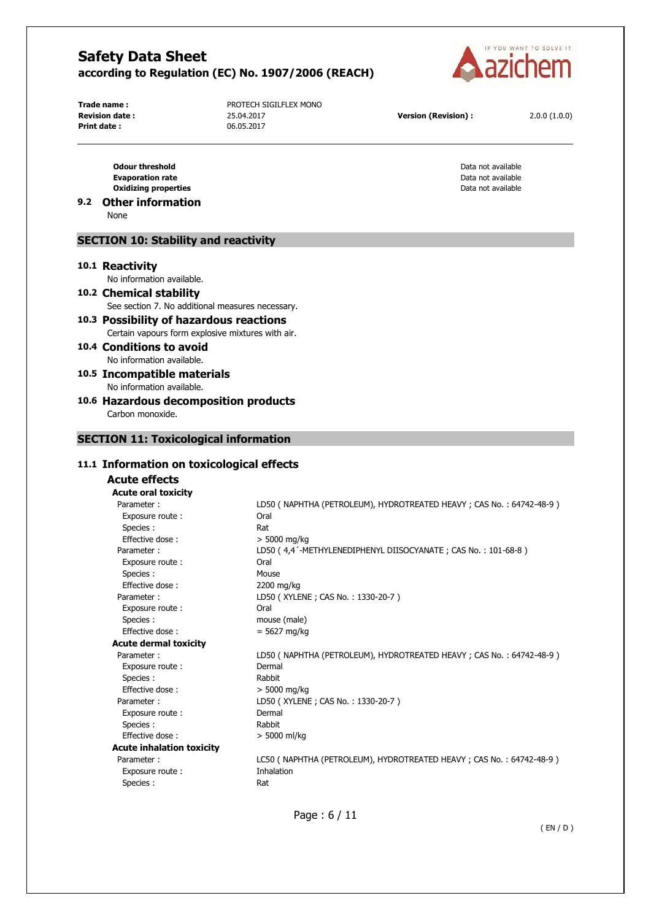

**Print date :** 06.05.2017

**Trade name :** PROTECH SIGILFLEX MONO **Revision date :** 25.04.2017 **Version (Revision) :** 2.0.0 (1.0.0)

**Odour threshold Data not available Data not available Data not available** 

**Evaporation rate Evaporation rate Data not available Data not available Data not available Data not available Oxidizing properties** Data not available

# **9.2 Other information**

None

### **SECTION 10: Stability and reactivity**

#### **10.1 Reactivity**

No information available.

- **10.2 Chemical stability**  See section 7. No additional measures necessary.
- **10.3 Possibility of hazardous reactions**  Certain vapours form explosive mixtures with air.
- **10.4 Conditions to avoid**  No information available.
- **10.5 Incompatible materials**  No information available.
- **10.6 Hazardous decomposition products**

Carbon monoxide.

# **SECTION 11: Toxicological information**

# **11.1 Information on toxicological effects**

# **Acute effects**

**Acute oral toxicity**  Parameter : LD50 ( NAPHTHA (PETROLEUM), HYDROTREATED HEAVY ; CAS No. : 64742-48-9 ) Exposure route : Oral Species : Rat Effective dose :  $> 5000$  mg/kg Parameter : LD50 ( 4,4<sup>'</sup>-METHYLENEDIPHENYL DIISOCYANATE ; CAS No. : 101-68-8 ) Exposure route : Oral Species : Mouse Effective dose : 2200 mg/kg Parameter : LD50 (XYLENE ; CAS No. : 1330-20-7 ) Exposure route : Call Coral Species : mouse (male)  $Effective dose : = 5627 ma/ka$ **Acute dermal toxicity**  Parameter : LD50 ( NAPHTHA (PETROLEUM), HYDROTREATED HEAVY ; CAS No. : 64742-48-9 ) Exposure route : Dermal Species : Rabbit Effective dose :  $> 5000 \text{ mg/kg}$ Parameter : LD50 ( XYLENE ; CAS No. : 1330-20-7 ) Exposure route : Dermal Species : Rabbit Effective dose :  $> 5000$  ml/kg **Acute inhalation toxicity**  Parameter : LC50 ( NAPHTHA (PETROLEUM), HYDROTREATED HEAVY ; CAS No. : 64742-48-9 ) Exposure route : Inhalation Species : Rat

Page : 6 / 11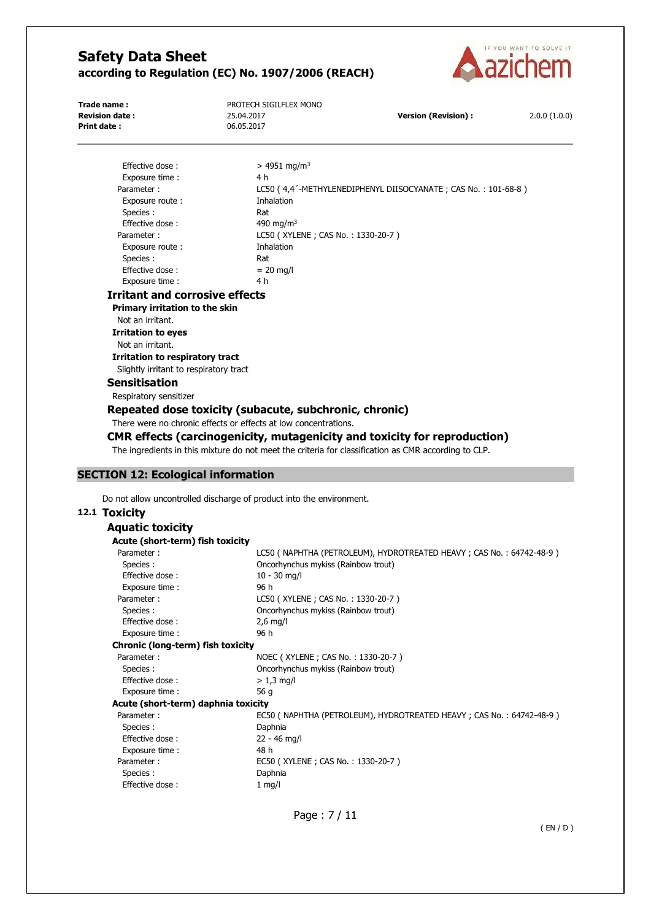

**Print date :** 06.05.2017

**Trade name :** PROTECH SIGILFLEX MONO **Revision date :** 25.04.2017 **Version (Revision) :** 2.0.0 (1.0.0)

| Effective dose:                                                   | $> 4951$ mg/m <sup>3</sup>                                     |
|-------------------------------------------------------------------|----------------------------------------------------------------|
| Exposure time:                                                    | 4 h                                                            |
| Parameter:                                                        | LC50 (4,4 '-METHYLENEDIPHENYL DIISOCYANATE; CAS No.: 101-68-8) |
| Exposure route:                                                   | Inhalation                                                     |
| Species:                                                          | Rat                                                            |
| Effective dose:                                                   | 490 mg/m <sup>3</sup>                                          |
| Parameter:                                                        | LC50 (XYLENE; CAS No.: 1330-20-7)                              |
| Exposure route:                                                   | Inhalation                                                     |
| Species:                                                          | Rat                                                            |
| Effective dose:                                                   | $= 20$ mg/l                                                    |
| Exposure time:                                                    | 4 h                                                            |
| Irritant and corrosive effects<br>Delmanne leekating ta tha alder |                                                                |

**Primary irritation to the skin**  Not an irritant.

**Irritation to eyes** 

Not an irritant.

**Irritation to respiratory tract**  Slightly irritant to respiratory tract

# **Sensitisation**

Respiratory sensitizer

### **Repeated dose toxicity (subacute, subchronic, chronic)**

There were no chronic effects or effects at low concentrations.

# **CMR effects (carcinogenicity, mutagenicity and toxicity for reproduction)**

The ingredients in this mixture do not meet the criteria for classification as CMR according to CLP.

# **SECTION 12: Ecological information**

Do not allow uncontrolled discharge of product into the environment.

#### **12.1 Toxicity**

| Aquatic toxicity                    |                                                                         |
|-------------------------------------|-------------------------------------------------------------------------|
| Acute (short-term) fish toxicity    |                                                                         |
| Parameter:                          | LC50 ( NAPHTHA (PETROLEUM), HYDROTREATED HEAVY ; CAS No. : 64742-48-9 ) |
| Species :                           | Oncorhynchus mykiss (Rainbow trout)                                     |
| Effective dose:                     | $10 - 30$ mg/l                                                          |
| Exposure time :                     | 96 h                                                                    |
| Parameter:                          | LC50 (XYLENE; CAS No.: 1330-20-7)                                       |
| Species :                           | Oncorhynchus mykiss (Rainbow trout)                                     |
| Effective dose:                     | $2,6$ mg/l                                                              |
| Exposure time:                      | 96 h                                                                    |
| Chronic (long-term) fish toxicity   |                                                                         |
| Parameter:                          | NOEC (XYLENE; CAS No.: 1330-20-7)                                       |
| Species:                            | Oncorhynchus mykiss (Rainbow trout)                                     |
| Effective dose:                     | $> 1.3$ mg/l                                                            |
| Exposure time:                      | 56 g                                                                    |
| Acute (short-term) daphnia toxicity |                                                                         |
| Parameter:                          | EC50 ( NAPHTHA (PETROLEUM), HYDROTREATED HEAVY ; CAS No. : 64742-48-9 ) |
| Species :                           | Daphnia                                                                 |
| Effective dose:                     | $22 - 46$ mg/l                                                          |
| Exposure time:                      | 48 h                                                                    |
| Parameter:                          | EC50 (XYLENE; CAS No.: 1330-20-7)                                       |
| Species :                           | Daphnia                                                                 |
| Effective dose:                     | $1$ mg/l                                                                |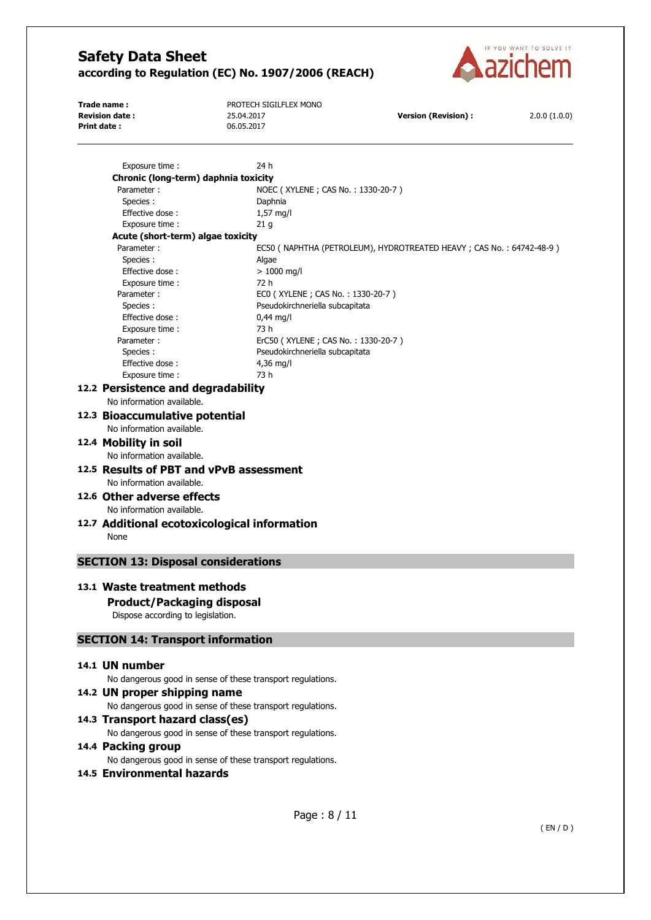

| Trade name :           | PROTECH SIGILFLEX MONO |                            |              |
|------------------------|------------------------|----------------------------|--------------|
| <b>Revision date :</b> | 25.04.2017             | <b>Version (Revision):</b> | 2.0.0(1.0.0) |
| Print date:            | 06.05.2017             |                            |              |

Exposure time : 24 h **Chronic (long-term) daphnia toxicity**  Parameter : NOEC ( XYLENE ; CAS No. : 1330-20-7 ) Species : Daphnia Effective dose : 1,57 mg/l Exposure time : 21 g **Acute (short-term) algae toxicity**  Parameter : EC50 ( NAPHTHA (PETROLEUM), HYDROTREATED HEAVY ; CAS No. : 64742-48-9 ) Species : Algae Effective dose :  $> 1000$  ma/l Exposure time : 72 h Parameter : EC0 ( XYLENE ; CAS No. : 1330-20-7 ) Species : Pseudokirchneriella subcapitata Effective dose : 0,44 mg/l Exposure time : 73 h Parameter : ErC50 (XYLENE ; CAS No. : 1330-20-7 ) Species : Pseudokirchneriella subcapitata Effective dose : 4,36 mg/l Exposure time : 73 h **12.2 Persistence and degradability**  No information available. **12.3 Bioaccumulative potential**  No information available. **12.4 Mobility in soil**  No information available. **12.5 Results of PBT and vPvB assessment**  No information available. **12.6 Other adverse effects**  No information available. **12.7 Additional ecotoxicological information**  None **SECTION 13: Disposal considerations 13.1 Waste treatment methods Product/Packaging disposal**  Dispose according to legislation. **SECTION 14: Transport information 14.1 UN number**  No dangerous good in sense of these transport regulations. **14.2 UN proper shipping name**  No dangerous good in sense of these transport regulations. **14.3 Transport hazard class(es)**  No dangerous good in sense of these transport regulations. **14.4 Packing group**  No dangerous good in sense of these transport regulations. **14.5 Environmental hazards**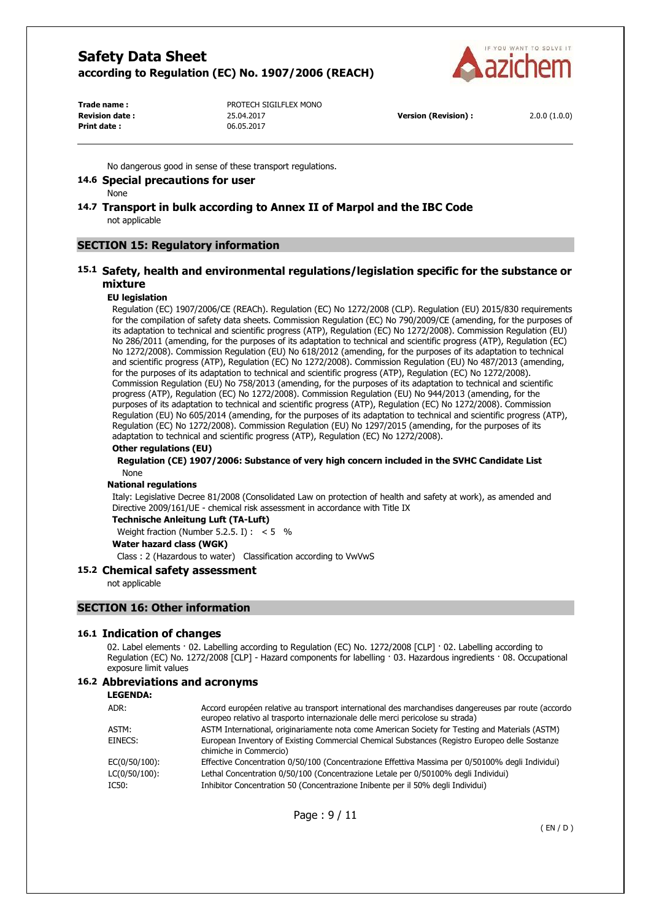

**Print date :** 06.05.2017

**Trade name :** PROTECH SIGILFLEX MONO **Revision date :** 25.04.2017 **Version (Revision) :** 2.0.0 (1.0.0)

No dangerous good in sense of these transport regulations.

### **14.6 Special precautions for user**

None

### **14.7 Transport in bulk according to Annex II of Marpol and the IBC Code**  not applicable

# **SECTION 15: Regulatory information**

# **15.1 Safety, health and environmental regulations/legislation specific for the substance or mixture**

### **EU legislation**

Regulation (EC) 1907/2006/CE (REACh). Regulation (EC) No 1272/2008 (CLP). Regulation (EU) 2015/830 requirements for the compilation of safety data sheets. Commission Regulation (EC) No 790/2009/CE (amending, for the purposes of its adaptation to technical and scientific progress (ATP), Regulation (EC) No 1272/2008). Commission Regulation (EU) No 286/2011 (amending, for the purposes of its adaptation to technical and scientific progress (ATP), Regulation (EC) No 1272/2008). Commission Regulation (EU) No 618/2012 (amending, for the purposes of its adaptation to technical and scientific progress (ATP), Regulation (EC) No 1272/2008). Commission Regulation (EU) No 487/2013 (amending, for the purposes of its adaptation to technical and scientific progress (ATP), Regulation (EC) No 1272/2008). Commission Regulation (EU) No 758/2013 (amending, for the purposes of its adaptation to technical and scientific progress (ATP), Regulation (EC) No 1272/2008). Commission Regulation (EU) No 944/2013 (amending, for the purposes of its adaptation to technical and scientific progress (ATP), Regulation (EC) No 1272/2008). Commission Regulation (EU) No 605/2014 (amending, for the purposes of its adaptation to technical and scientific progress (ATP), Regulation (EC) No 1272/2008). Commission Regulation (EU) No 1297/2015 (amending, for the purposes of its adaptation to technical and scientific progress (ATP), Regulation (EC) No 1272/2008).

### **Other regulations (EU)**

#### **Regulation (CE) 1907/2006: Substance of very high concern included in the SVHC Candidate List**  None

### **National regulations**

Italy: Legislative Decree 81/2008 (Consolidated Law on protection of health and safety at work), as amended and Directive 2009/161/UE - chemical risk assessment in accordance with Title IX

# **Technische Anleitung Luft (TA-Luft)**

Weight fraction (Number 5.2.5. I) :  $< 5$  %

# **Water hazard class (WGK)**

Class : 2 (Hazardous to water) Classification according to VwVwS

### **15.2 Chemical safety assessment**

not applicable

### **SECTION 16: Other information**

### **16.1 Indication of changes**

02. Label elements · 02. Labelling according to Regulation (EC) No. 1272/2008 [CLP] · 02. Labelling according to Regulation (EC) No. 1272/2008 [CLP] - Hazard components for labelling · 03. Hazardous ingredients · 08. Occupational exposure limit values

# **16.2 Abbreviations and acronyms**

#### **LEGENDA:**

| ADR:          | Accord européen relative au transport international des marchandises dangereuses par route (accordo<br>europeo relativo al trasporto internazionale delle merci pericolose su strada) |
|---------------|---------------------------------------------------------------------------------------------------------------------------------------------------------------------------------------|
| ASTM:         | ASTM International, originariamente nota come American Society for Testing and Materials (ASTM)                                                                                       |
| EINECS:       | European Inventory of Existing Commercial Chemical Substances (Registro Europeo delle Sostanze<br>chimiche in Commercio)                                                              |
| EC(0/50/100): | Effective Concentration 0/50/100 (Concentrazione Effettiva Massima per 0/50100% degli Individui)                                                                                      |
| LC(0/50/100): | Lethal Concentration 0/50/100 (Concentrazione Letale per 0/50100% degli Individui)                                                                                                    |
| IC50:         | Inhibitor Concentration 50 (Concentrazione Inibente per il 50% degli Individui)                                                                                                       |

Page : 9 / 11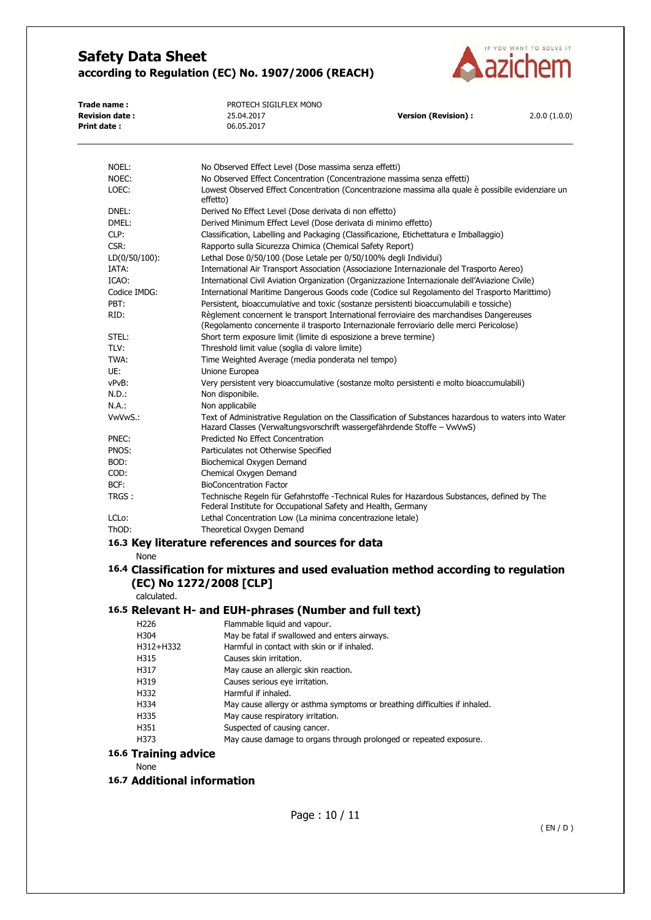

| PROTECH SIGILFLEX MONO |                      |              |
|------------------------|----------------------|--------------|
| 25.04.2017             | Version (Revision) : | 2.0.0(1.0.0) |
| 06.05.2017             |                      |              |
|                        |                      |              |

| NOEL:                              | No Observed Effect Level (Dose massima senza effetti)                                                                                                                                |
|------------------------------------|--------------------------------------------------------------------------------------------------------------------------------------------------------------------------------------|
| NOEC:                              | No Observed Effect Concentration (Concentrazione massima senza effetti)                                                                                                              |
| LOEC:                              | Lowest Observed Effect Concentration (Concentrazione massima alla quale è possibile evidenziare un<br>effetto)                                                                       |
| DNEL:                              | Derived No Effect Level (Dose derivata di non effetto)                                                                                                                               |
| DMEL:                              | Derived Minimum Effect Level (Dose derivata di minimo effetto)                                                                                                                       |
| CLP:                               | Classification, Labelling and Packaging (Classificazione, Etichettatura e Imballaggio)                                                                                               |
| CSR:                               | Rapporto sulla Sicurezza Chimica (Chemical Safety Report)                                                                                                                            |
| $LD(0/50/100)$ :                   | Lethal Dose 0/50/100 (Dose Letale per 0/50/100% degli Individui)                                                                                                                     |
| IATA:                              | International Air Transport Association (Associazione Internazionale del Trasporto Aereo)                                                                                            |
| ICAO:                              | International Civil Aviation Organization (Organizzazione Internazionale dell'Aviazione Civile)                                                                                      |
| Codice IMDG:                       | International Maritime Dangerous Goods code (Codice sul Regolamento del Trasporto Marittimo)                                                                                         |
| PBT:                               | Persistent, bioaccumulative and toxic (sostanze persistenti bioaccumulabili e tossiche)                                                                                              |
| RID:                               | Règlement concernent le transport International ferroviaire des marchandises Dangereuses<br>(Regolamento concernente il trasporto Internazionale ferroviario delle merci Pericolose) |
| STEL:                              | Short term exposure limit (limite di esposizione a breve termine)                                                                                                                    |
| TLV:                               | Threshold limit value (soglia di valore limite)                                                                                                                                      |
| TWA:                               | Time Weighted Average (media ponderata nel tempo)                                                                                                                                    |
| UE:                                | Unione Europea                                                                                                                                                                       |
| vPvB:                              | Very persistent very bioaccumulative (sostanze molto persistenti e molto bioaccumulabili)                                                                                            |
| N.D.:                              | Non disponibile.                                                                                                                                                                     |
| N.A.:                              | Non applicabile                                                                                                                                                                      |
| VwVwS.:                            | Text of Administrative Regulation on the Classification of Substances hazardous to waters into Water<br>Hazard Classes (Verwaltungsvorschrift wassergefährdende Stoffe – VwVwS)      |
| PNEC:                              | Predicted No Effect Concentration                                                                                                                                                    |
| PNOS:                              | Particulates not Otherwise Specified                                                                                                                                                 |
| BOD:                               | Biochemical Oxygen Demand                                                                                                                                                            |
| COD:                               | Chemical Oxygen Demand                                                                                                                                                               |
| BCF:                               | <b>BioConcentration Factor</b>                                                                                                                                                       |
| TRGS :                             | Technische Regeln für Gefahrstoffe -Technical Rules for Hazardous Substances, defined by The<br>Federal Institute for Occupational Safety and Health, Germany                        |
| LCL <sub>o</sub> :                 | Lethal Concentration Low (La minima concentrazione letale)                                                                                                                           |
| ThOD:                              | Theoretical Oxygen Demand                                                                                                                                                            |
|                                    | 16.3 Key literature references and sources for data                                                                                                                                  |
| None                               |                                                                                                                                                                                      |
|                                    | 16.4 Classification for mixtures and used evaluation method according to regulation                                                                                                  |
| calculated.                        | (EC) No 1272/2008 [CLP]                                                                                                                                                              |
|                                    |                                                                                                                                                                                      |
|                                    | 16.5 Relevant H- and EUH-phrases (Number and full text)                                                                                                                              |
| H <sub>226</sub>                   | Flammable liquid and vapour.                                                                                                                                                         |
| H304                               | May be fatal if swallowed and enters airways.                                                                                                                                        |
| H312+H332                          | Harmful in contact with skin or if inhaled.                                                                                                                                          |
| H315                               | Causes skin irritation.                                                                                                                                                              |
| H317                               | May cause an allergic skin reaction.                                                                                                                                                 |
| H319                               | Causes serious eye irritation.                                                                                                                                                       |
| H332                               | Harmful if inhaled.                                                                                                                                                                  |
| H334                               | May cause allergy or asthma symptoms or breathing difficulties if inhaled.                                                                                                           |
| H335                               | May cause respiratory irritation.                                                                                                                                                    |
| H351                               | Suspected of causing cancer.                                                                                                                                                         |
| H373                               | May cause damage to organs through prolonged or repeated exposure.                                                                                                                   |
| <b>16.6 Training advice</b>        |                                                                                                                                                                                      |
| None                               |                                                                                                                                                                                      |
| <b>16.7 Additional information</b> |                                                                                                                                                                                      |
|                                    |                                                                                                                                                                                      |